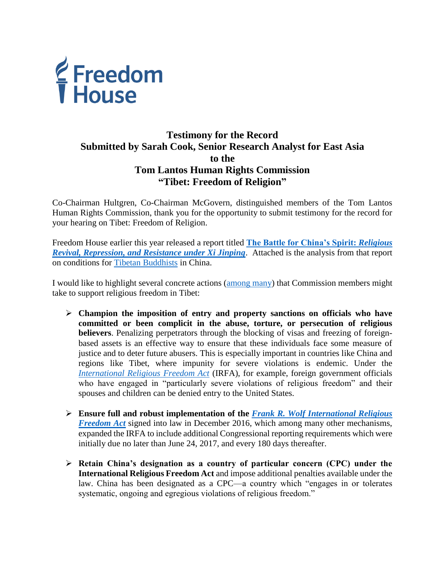

## **Testimony for the Record Submitted by Sarah Cook, Senior Research Analyst for East Asia to the Tom Lantos Human Rights Commission "Tibet: Freedom of Religion"**

Co-Chairman Hultgren, Co-Chairman McGovern, distinguished members of the Tom Lantos Human Rights Commission, thank you for the opportunity to submit testimony for the record for your hearing on Tibet: Freedom of Religion.

Freedom House earlier this year released a report titled **[The Battle for China's Spirit:](https://freedomhouse.org/report/china-religious-freedom)** *Religious [Revival, Repression, and Resistance under Xi Jinping](https://freedomhouse.org/report/china-religious-freedom)*. Attached is the analysis from that report on conditions for [Tibetan Buddhists](https://freedomhouse.org/sites/default/files/FH_2017_BattleForChinasSpirit_Tibetan_Buddhism_0.pdf) in China.

I would like to highlight several concrete actions [\(among many\)](https://freedomhouse.org/report/china-religious-freedom/recommendations) that Commission members might take to support religious freedom in Tibet:

- **Champion the imposition of entry and property sanctions on officials who have committed or been complicit in the abuse, torture, or persecution of religious believers**. Penalizing perpetrators through the blocking of visas and freezing of foreignbased assets is an effective way to ensure that these individuals face some measure of justice and to deter future abusers. This is especially important in countries like China and regions like Tibet, where impunity for severe violations is endemic. Under the *[International Religious Freedom Act](http://www.uscirf.gov/about-uscirf/authorizing-legislation-amendments)* (IRFA), for example, foreign government officials who have engaged in "particularly severe violations of religious freedom" and their spouses and children can be denied entry to the United States.
- **Ensure full and robust implementation of the** *[Frank R. Wolf International Religious](https://www.congress.gov/bill/114th-congress/house-bill/1150/text?q=%7B%22search%22%3A%5B%22hr1150%22%5D%7D&r=2)  [Freedom Act](https://www.congress.gov/bill/114th-congress/house-bill/1150/text?q=%7B%22search%22%3A%5B%22hr1150%22%5D%7D&r=2)* signed into law in December 2016, which among many other mechanisms, expanded the IRFA to include additional Congressional reporting requirements which were initially due no later than June 24, 2017, and every 180 days thereafter.
- **Retain China's designation as a country of particular concern (CPC) under the International Religious Freedom Act** and impose additional penalties available under the law. China has been designated as a CPC—a country which "engages in or tolerates systematic, ongoing and egregious violations of religious freedom."